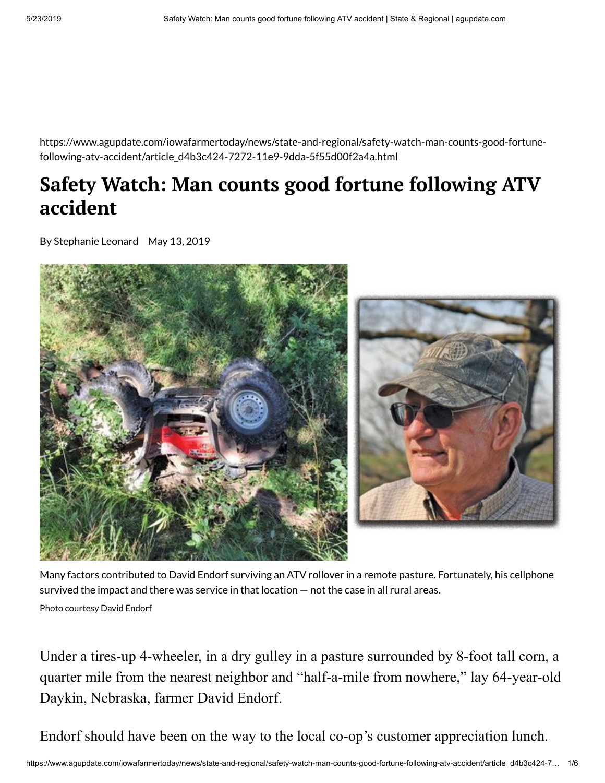https://www.agupdate.com/iowafarmertoday/news/state-and-regional/safety-watch-man-counts-good-fortunefollowing-atv-accident/article\_d4b3c424-7272-11e9-9dda-5f55d00f2a4a.html

## **Safety Watch: Man counts good fortune following ATV accident**

By Stephanie Leonard May 13, 2019



Many factors contributed to David Endorf surviving an ATV rollover in a remote pasture. Fortunately, his cellphone survived the impact and there was service in that location — not the case in all rural areas. Photo courtesy David Endorf

Under a tires-up 4-wheeler, in a dry gulley in a pasture surrounded by 8-foot tall corn, a quarter mile from the nearest neighbor and "half-a-mile from nowhere," lay 64-year-old Daykin, Nebraska, farmer David Endorf.

Endorf should have been on the way to the local co-op's customer appreciation lunch.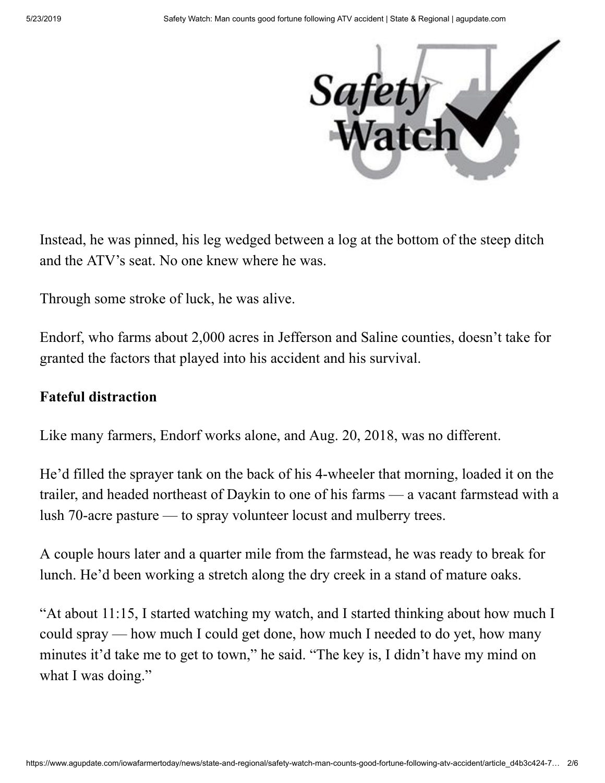

Instead, he was pinned, his leg wedged between a log at the bottom of the steep ditch and the ATV's seat. No one knew where he was.

Through some stroke of luck, he was alive.

Endorf, who farms about 2,000 acres in Jefferson and Saline counties, doesn't take for granted the factors that played into his accident and his survival.

## **Fateful distraction**

Like many farmers, Endorf works alone, and Aug. 20, 2018, was no different.

He'd filled the sprayer tank on the back of his 4-wheeler that morning, loaded it on the trailer, and headed northeast of Daykin to one of his farms — a vacant farmstead with a lush 70-acre pasture — to spray volunteer locust and mulberry trees.

A couple hours later and a quarter mile from the farmstead, he was ready to break for lunch. He'd been working a stretch along the dry creek in a stand of mature oaks.

"At about 11:15, I started watching my watch, and I started thinking about how much I could spray — how much I could get done, how much I needed to do yet, how many minutes it'd take me to get to town," he said. "The key is, I didn't have my mind on what I was doing."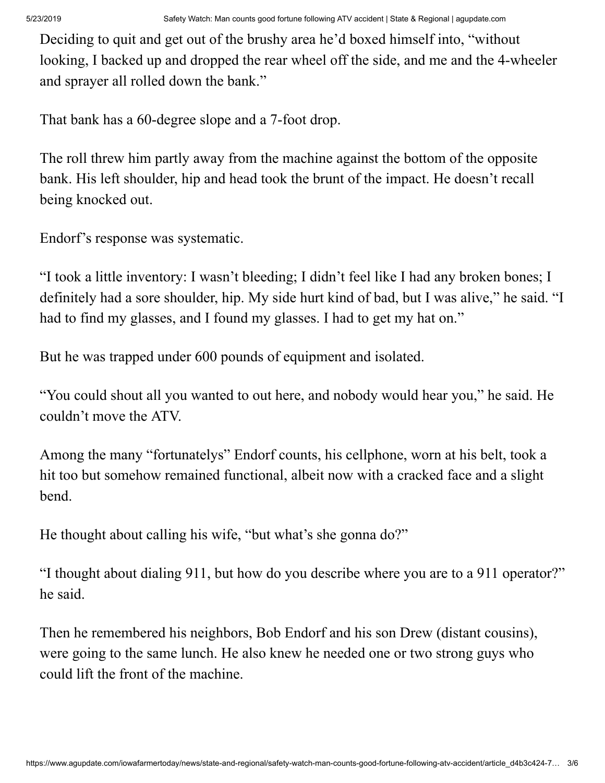Deciding to quit and get out of the brushy area he'd boxed himself into, "without looking, I backed up and dropped the rear wheel off the side, and me and the 4-wheeler and sprayer all rolled down the bank."

That bank has a 60-degree slope and a 7-foot drop.

The roll threw him partly away from the machine against the bottom of the opposite bank. His left shoulder, hip and head took the brunt of the impact. He doesn't recall being knocked out.

Endorf's response was systematic.

"I took a little inventory: I wasn't bleeding; I didn't feel like I had any broken bones; I definitely had a sore shoulder, hip. My side hurt kind of bad, but I was alive," he said. "I had to find my glasses, and I found my glasses. I had to get my hat on."

But he was trapped under 600 pounds of equipment and isolated.

"You could shout all you wanted to out here, and nobody would hear you," he said. He couldn't move the ATV.

Among the many "fortunatelys" Endorf counts, his cellphone, worn at his belt, took a hit too but somehow remained functional, albeit now with a cracked face and a slight bend.

He thought about calling his wife, "but what's she gonna do?"

"I thought about dialing 911, but how do you describe where you are to a 911 operator?" he said.

Then he remembered his neighbors, Bob Endorf and his son Drew (distant cousins), were going to the same lunch. He also knew he needed one or two strong guys who could lift the front of the machine.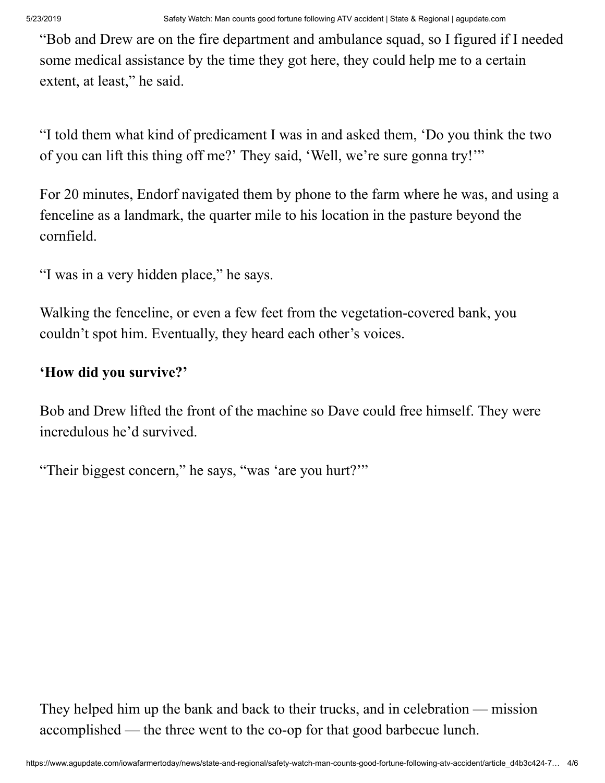"Bob and Drew are on the fire department and ambulance squad, so I figured if I needed some medical assistance by the time they got here, they could help me to a certain extent, at least," he said.

"I told them what kind of predicament I was in and asked them, 'Do you think the two of you can lift this thing off me?' They said, 'Well, we're sure gonna try!'"

For 20 minutes, Endorf navigated them by phone to the farm where he was, and using a fenceline as a landmark, the quarter mile to his location in the pasture beyond the cornfield.

"I was in a very hidden place," he says.

Walking the fenceline, or even a few feet from the vegetation-covered bank, you couldn't spot him. Eventually, they heard each other's voices.

## **'How did you survive?'**

Bob and Drew lifted the front of the machine so Dave could free himself. They were incredulous he'd survived.

"Their biggest concern," he says, "was 'are you hurt?'"

They helped him up the bank and back to their trucks, and in celebration — mission accomplished — the three went to the co-op for that good barbecue lunch.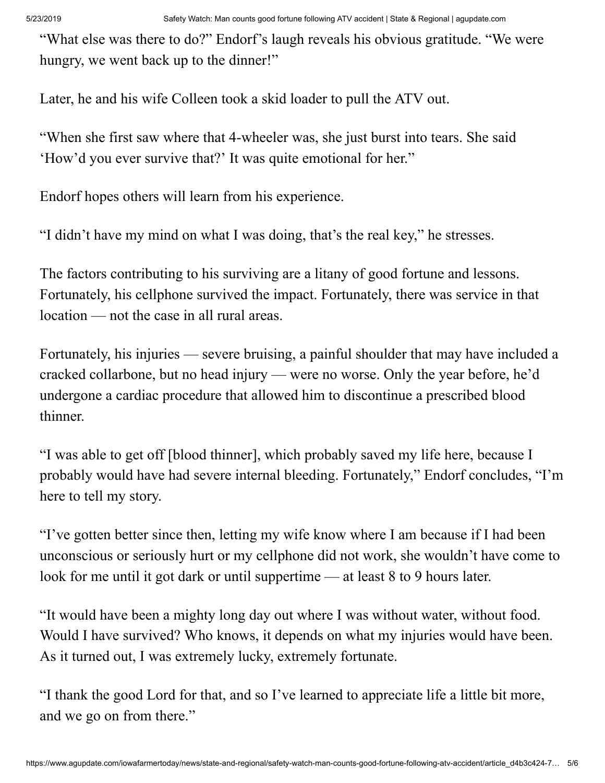"What else was there to do?" Endorf's laugh reveals his obvious gratitude. "We were hungry, we went back up to the dinner!"

Later, he and his wife Colleen took a skid loader to pull the ATV out.

"When she first saw where that 4-wheeler was, she just burst into tears. She said 'How'd you ever survive that?' It was quite emotional for her."

Endorf hopes others will learn from his experience.

"I didn't have my mind on what I was doing, that's the real key," he stresses.

The factors contributing to his surviving are a litany of good fortune and lessons. Fortunately, his cellphone survived the impact. Fortunately, there was service in that location — not the case in all rural areas.

Fortunately, his injuries — severe bruising, a painful shoulder that may have included a cracked collarbone, but no head injury — were no worse. Only the year before, he'd undergone a cardiac procedure that allowed him to discontinue a prescribed blood thinner.

"I was able to get off [blood thinner], which probably saved my life here, because I probably would have had severe internal bleeding. Fortunately," Endorf concludes, "I'm here to tell my story.

"I've gotten better since then, letting my wife know where I am because if I had been unconscious or seriously hurt or my cellphone did not work, she wouldn't have come to look for me until it got dark or until suppertime — at least 8 to 9 hours later.

"It would have been a mighty long day out where I was without water, without food. Would I have survived? Who knows, it depends on what my injuries would have been. As it turned out, I was extremely lucky, extremely fortunate.

"I thank the good Lord for that, and so I've learned to appreciate life a little bit more, and we go on from there."